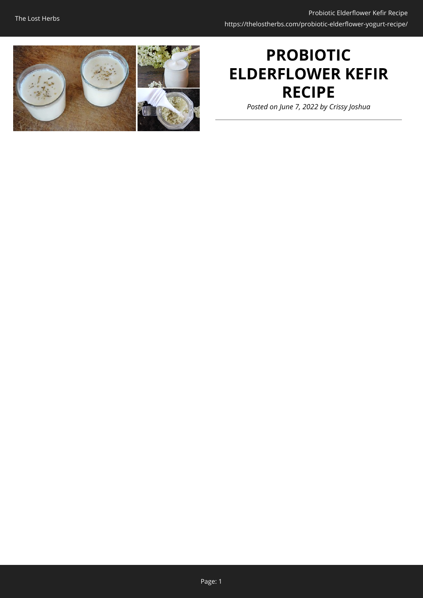

# **PROBIOTIC ELDERFLOWER KEFIR RECIPE**

*Posted on June 7, 2022 by Crissy Joshua*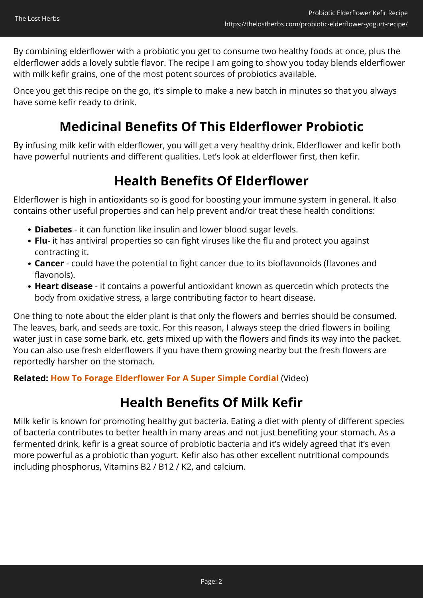By combining elderflower with a probiotic you get to consume two healthy foods at once, plus the elderflower adds a lovely subtle flavor. The recipe I am going to show you today blends elderflower with milk kefir grains, one of the most potent sources of probiotics available.

Once you get this recipe on the go, it's simple to make a new batch in minutes so that you always have some kefir ready to drink.

### **Medicinal Benefits Of This Elderflower Probiotic**

By infusing milk kefir with elderflower, you will get a very healthy drink. Elderflower and kefir both have powerful nutrients and different qualities. Let's look at elderflower first, then kefir.

### **Health Benefits Of Elderflower**

Elderflower is high in antioxidants so is good for boosting your immune system in general. It also contains other useful properties and can help prevent and/or treat these health conditions:

- **Diabetes** it can function like insulin and lower blood sugar levels.
- **Flu** it has antiviral properties so can fight viruses like the flu and protect you against contracting it.
- **Cancer**  could have the potential to fight cancer due to its bioflavonoids (flavones and flavonols).
- **Heart disease** it contains a powerful antioxidant known as quercetin which protects the body from oxidative stress, a large contributing factor to heart disease.

One thing to note about the elder plant is that only the flowers and berries should be consumed. The leaves, bark, and seeds are toxic. For this reason, I always steep the dried flowers in boiling water just in case some bark, etc. gets mixed up with the flowers and finds its way into the packet. You can also use fresh elderflowers if you have them growing nearby but the fresh flowers are reportedly harsher on the stomach.

**Related: [How To Forage Elderflower For A Super Simple Cordial](https://hop.clickbank.net/?affiliate=easycellar&vendor=wfguide&tid=C02ElderflowerKefirFGW1)** (Video)

### **Health Benefits Of Milk Kefir**

Milk kefir is known for promoting healthy gut bacteria. Eating a diet with plenty of different species of bacteria contributes to better health in many areas and not just benefiting your stomach. As a fermented drink, kefir is a great source of probiotic bacteria and it's widely agreed that it's even more powerful as a probiotic than yogurt. Kefir also has other excellent nutritional compounds including phosphorus, Vitamins B2 / B12 / K2, and calcium.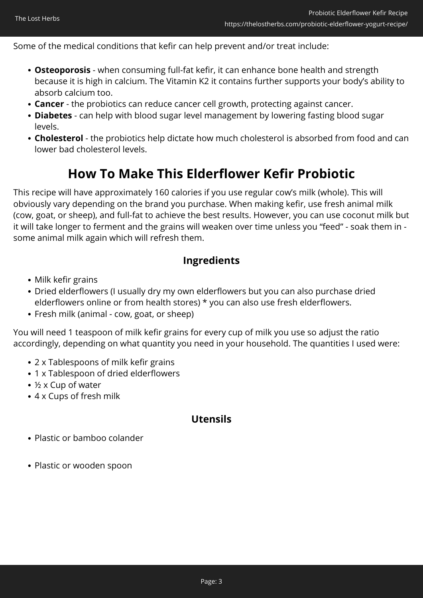Some of the medical conditions that kefir can help prevent and/or treat include:

- **Osteoporosis** when consuming full-fat kefir, it can enhance bone health and strength because it is high in calcium. The Vitamin K2 it contains further supports your body's ability to absorb calcium too.
- **Cancer** the probiotics can reduce cancer cell growth, protecting against cancer.
- **Diabetes**  can help with blood sugar level management by lowering fasting blood sugar levels.
- **Cholesterol** the probiotics help dictate how much cholesterol is absorbed from food and can lower bad cholesterol levels.

### **How To Make This Elderflower Kefir Probiotic**

This recipe will have approximately 160 calories if you use regular cow's milk (whole). This will obviously vary depending on the brand you purchase. When making kefir, use fresh animal milk (cow, goat, or sheep), and full-fat to achieve the best results. However, you can use coconut milk but it will take longer to ferment and the grains will weaken over time unless you "feed" - soak them in some animal milk again which will refresh them.

#### **Ingredients**

- Milk kefir grains
- Dried elderflowers (I usually dry my own elderflowers but you can also purchase dried elderflowers online or from health stores) \* you can also use fresh elderflowers.
- Fresh milk (animal cow, goat, or sheep)

You will need 1 teaspoon of milk kefir grains for every cup of milk you use so adjust the ratio accordingly, depending on what quantity you need in your household. The quantities I used were:

- 2 x Tablespoons of milk kefir grains
- 1 x Tablespoon of dried elderflowers
- ½ x Cup of water
- 4 x Cups of fresh milk

#### **Utensils**

- Plastic or bamboo colander
- Plastic or wooden spoon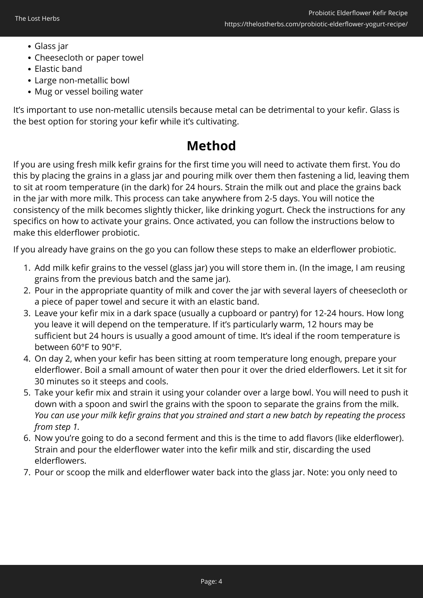- Glass jar
- Cheesecloth or paper towel
- Elastic band
- Large non-metallic bowl
- Mug or vessel boiling water

It's important to use non-metallic utensils because metal can be detrimental to your kefir. Glass is the best option for storing your kefir while it's cultivating.

### **Method**

If you are using fresh milk kefir grains for the first time you will need to activate them first. You do this by placing the grains in a glass jar and pouring milk over them then fastening a lid, leaving them to sit at room temperature (in the dark) for 24 hours. Strain the milk out and place the grains back in the jar with more milk. This process can take anywhere from 2-5 days. You will notice the consistency of the milk becomes slightly thicker, like drinking yogurt. Check the instructions for any specifics on how to activate your grains. Once activated, you can follow the instructions below to make this elderflower probiotic.

If you already have grains on the go you can follow these steps to make an elderflower probiotic.

- 1. Add milk kefir grains to the vessel (glass jar) you will store them in. (In the image, I am reusing grains from the previous batch and the same jar).
- 2. Pour in the appropriate quantity of milk and cover the jar with several layers of cheesecloth or a piece of paper towel and secure it with an elastic band.
- 3. Leave your kefir mix in a dark space (usually a cupboard or pantry) for 12-24 hours. How long you leave it will depend on the temperature. If it's particularly warm, 12 hours may be sufficient but 24 hours is usually a good amount of time. It's ideal if the room temperature is between 60°F to 90°F.
- 4. On day 2, when your kefir has been sitting at room temperature long enough, prepare your elderflower. Boil a small amount of water then pour it over the dried elderflowers. Let it sit for 30 minutes so it steeps and cools.
- 5. Take your kefir mix and strain it using your colander over a large bowl. You will need to push it down with a spoon and swirl the grains with the spoon to separate the grains from the milk. *You can use your milk kefir grains that you strained and start a new batch by repeating the process from step 1.*
- 6. Now you're going to do a second ferment and this is the time to add flavors (like elderflower). Strain and pour the elderflower water into the kefir milk and stir, discarding the used elderflowers.
- 7. Pour or scoop the milk and elderflower water back into the glass jar. Note: you only need to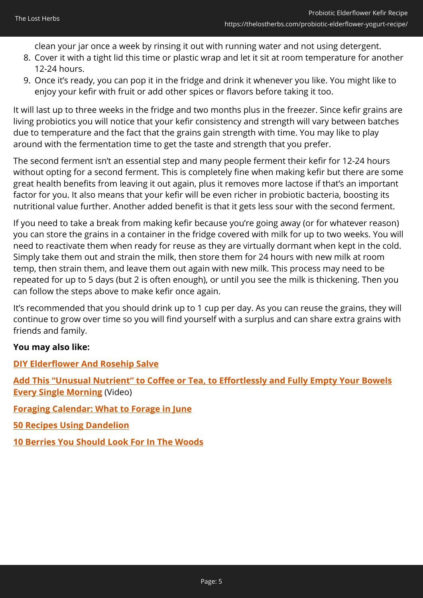clean your jar once a week by rinsing it out with running water and not using detergent.

- 8. Cover it with a tight lid this time or plastic wrap and let it sit at room temperature for another 12-24 hours.
- 9. Once it's ready, you can pop it in the fridge and drink it whenever you like. You might like to enjoy your kefir with fruit or add other spices or flavors before taking it too.

It will last up to three weeks in the fridge and two months plus in the freezer. Since kefir grains are living probiotics you will notice that your kefir consistency and strength will vary between batches due to temperature and the fact that the grains gain strength with time. You may like to play around with the fermentation time to get the taste and strength that you prefer.

The second ferment isn't an essential step and many people ferment their kefir for 12-24 hours without opting for a second ferment. This is completely fine when making kefir but there are some great health benefits from leaving it out again, plus it removes more lactose if that's an important factor for you. It also means that your kefir will be even richer in probiotic bacteria, boosting its nutritional value further. Another added benefit is that it gets less sour with the second ferment.

If you need to take a break from making kefir because you're going away (or for whatever reason) you can store the grains in a container in the fridge covered with milk for up to two weeks. You will need to reactivate them when ready for reuse as they are virtually dormant when kept in the cold. Simply take them out and strain the milk, then store them for 24 hours with new milk at room temp, then strain them, and leave them out again with new milk. This process may need to be repeated for up to 5 days (but 2 is often enough), or until you see the milk is thickening. Then you can follow the steps above to make kefir once again.

It's recommended that you should drink up to 1 cup per day. As you can reuse the grains, they will continue to grow over time so you will find yourself with a surplus and can share extra grains with friends and family.

#### **You may also like:**

**[DIY Elderflower And Rosehip Salve](https://thelostherbs.com/diy-elderflower-and-rosehip-salve/)**

**[Add This "Unusual Nutrient" to Coffee or Tea, to Effortlessly and Fully Empty Your Bowels](https://hop.clickbank.net/?affiliate=easycellar&vendor=peakbiome&tid=C02ElderflowerKefirPBB) [Every Single Morning](https://hop.clickbank.net/?affiliate=easycellar&vendor=peakbiome&tid=C02ElderflowerKefirPBB)** (Video)

**[Foraging Calendar: What to Forage in June](https://thelostherbs.com/foraging-calendar-what-to-forage-in-june/)**

**[50 Recipes Using Dandelion](https://thelostherbs.com/50-recipes-using-dandelion/)**

**[10 Berries You Should Look For In The Woods](https://thelostherbs.com/10-berries-you-should-look-for-in-the-woods/)**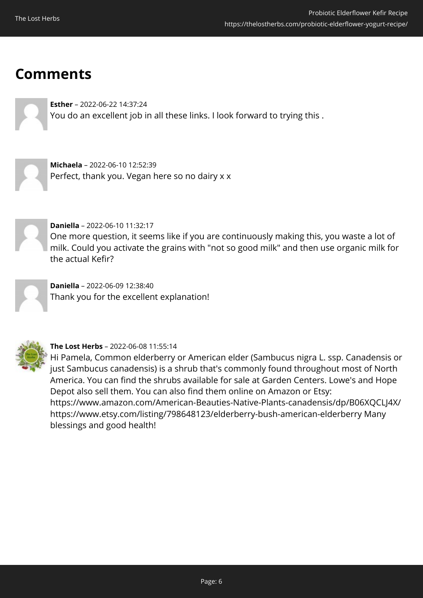## **Comments**

**Esther** – 2022-06-22 14:37:24 You do an excellent job in all these links. I look forward to trying this .

**Michaela** – 2022-06-10 12:52:39 Perfect, thank you. Vegan here so no dairy x x



**Daniella** – 2022-06-10 11:32:17

One more question, it seems like if you are continuously making this, you waste a lot of milk. Could you activate the grains with "not so good milk" and then use organic milk for the actual Kefir?

**Daniella** – 2022-06-09 12:38:40 Thank you for the excellent explanation!



**The Lost Herbs** – 2022-06-08 11:55:14

Hi Pamela, Common elderberry or American elder (Sambucus nigra L. ssp. Canadensis or just Sambucus canadensis) is a shrub that's commonly found throughout most of North America. You can find the shrubs available for sale at Garden Centers. Lowe's and Hope Depot also sell them. You can also find them online on Amazon or Etsy: https://www.amazon.com/American-Beauties-Native-Plants-canadensis/dp/B06XQCLJ4X/ https://www.etsy.com/listing/798648123/elderberry-bush-american-elderberry Many blessings and good health!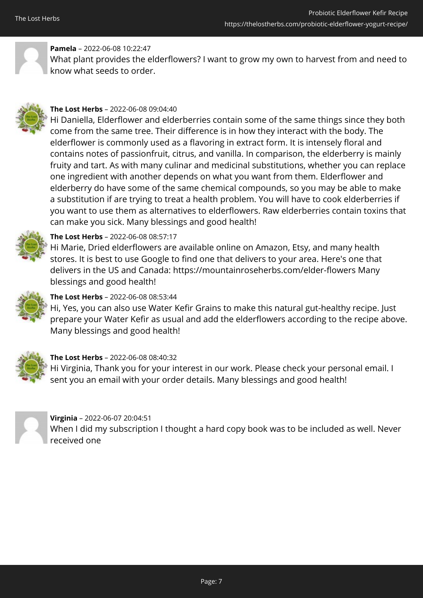

### **Pamela** – 2022-06-08 10:22:47

What plant provides the elderflowers? I want to grow my own to harvest from and need to know what seeds to order.



#### **The Lost Herbs** – 2022-06-08 09:04:40

Hi Daniella, Elderflower and elderberries contain some of the same things since they both come from the same tree. Their difference is in how they interact with the body. The elderflower is commonly used as a flavoring in extract form. It is intensely floral and contains notes of passionfruit, citrus, and vanilla. In comparison, the elderberry is mainly fruity and tart. As with many culinar and medicinal substitutions, whether you can replace one ingredient with another depends on what you want from them. Elderflower and elderberry do have some of the same chemical compounds, so you may be able to make a substitution if are trying to treat a health problem. You will have to cook elderberries if you want to use them as alternatives to elderflowers. Raw elderberries contain toxins that can make you sick. Many blessings and good health!



#### **The Lost Herbs** – 2022-06-08 08:57:17

Hi Marie, Dried elderflowers are available online on Amazon, Etsy, and many health stores. It is best to use Google to find one that delivers to your area. Here's one that delivers in the US and Canada: https://mountainroseherbs.com/elder-flowers Many blessings and good health!



#### **The Lost Herbs** – 2022-06-08 08:53:44

Hi, Yes, you can also use Water Kefir Grains to make this natural gut-healthy recipe. Just prepare your Water Kefir as usual and add the elderflowers according to the recipe above. Many blessings and good health!



#### **The Lost Herbs** – 2022-06-08 08:40:32

Hi Virginia, Thank you for your interest in our work. Please check your personal email. I sent you an email with your order details. Many blessings and good health!



#### **Virginia** – 2022-06-07 20:04:51 When I did my subscription I thought a hard copy book was to be included as well. Never received one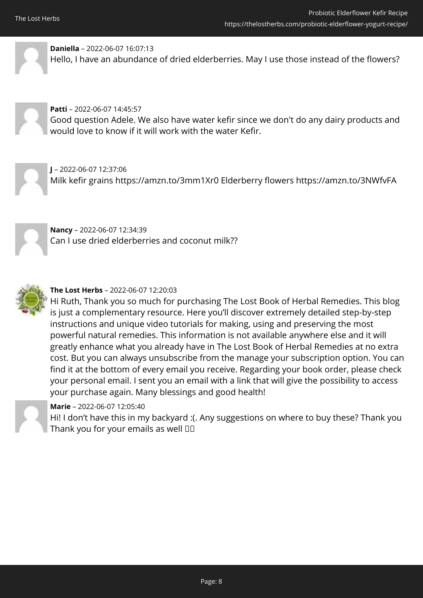

**Daniella** – 2022-06-07 16:07:13 Hello, I have an abundance of dried elderberries. May I use those instead of the flowers?



#### **Patti** – 2022-06-07 14:45:57

Good question Adele. We also have water kefir since we don't do any dairy products and would love to know if it will work with the water Kefir.

**J** – 2022-06-07 12:37:06 Milk kefir grains https://amzn.to/3mm1Xr0 Elderberry flowers https://amzn.to/3NWfvFA



**Nancy** – 2022-06-07 12:34:39 Can I use dried elderberries and coconut milk??



#### **The Lost Herbs** – 2022-06-07 12:20:03

Hi Ruth, Thank you so much for purchasing The Lost Book of Herbal Remedies. This blog is just a complementary resource. Here you'll discover extremely detailed step-by-step instructions and unique video tutorials for making, using and preserving the most powerful natural remedies. This information is not available anywhere else and it will greatly enhance what you already have in The Lost Book of Herbal Remedies at no extra cost. But you can always unsubscribe from the manage your subscription option. You can find it at the bottom of every email you receive. Regarding your book order, please check your personal email. I sent you an email with a link that will give the possibility to access your purchase again. Many blessings and good health!



#### **Marie** – 2022-06-07 12:05:40

Hi! I don't have this in my backyard :(. Any suggestions on where to buy these? Thank you Thank you for your emails as well  $\Box$  $\Box$